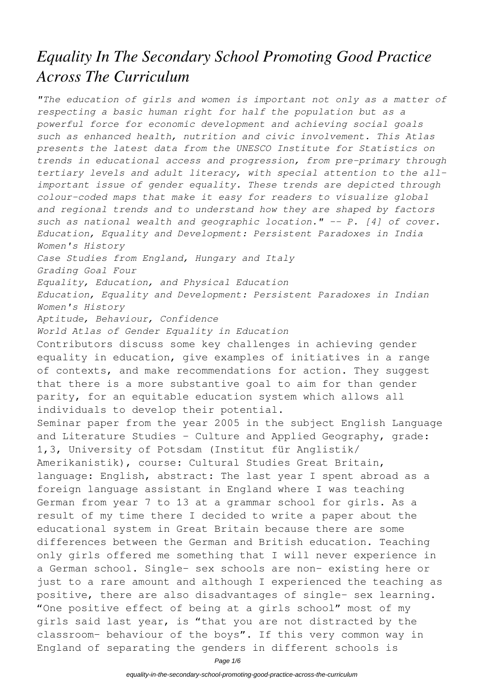## *Equality In The Secondary School Promoting Good Practice Across The Curriculum*

*"The education of girls and women is important not only as a matter of respecting a basic human right for half the population but as a powerful force for economic development and achieving social goals such as enhanced health, nutrition and civic involvement. This Atlas presents the latest data from the UNESCO Institute for Statistics on trends in educational access and progression, from pre-primary through tertiary levels and adult literacy, with special attention to the allimportant issue of gender equality. These trends are depicted through colour-coded maps that make it easy for readers to visualize global and regional trends and to understand how they are shaped by factors such as national wealth and geographic location." -- P. [4] of cover. Education, Equality and Development: Persistent Paradoxes in India Women's History Case Studies from England, Hungary and Italy Grading Goal Four Equality, Education, and Physical Education Education, Equality and Development: Persistent Paradoxes in Indian Women's History Aptitude, Behaviour, Confidence World Atlas of Gender Equality in Education* Contributors discuss some key challenges in achieving gender equality in education, give examples of initiatives in a range of contexts, and make recommendations for action. They suggest that there is a more substantive goal to aim for than gender parity, for an equitable education system which allows all individuals to develop their potential. Seminar paper from the year 2005 in the subject English Language and Literature Studies - Culture and Applied Geography, grade: 1,3, University of Potsdam (Institut für Anglistik/ Amerikanistik), course: Cultural Studies Great Britain, language: English, abstract: The last year I spent abroad as a foreign language assistant in England where I was teaching German from year 7 to 13 at a grammar school for girls. As a result of my time there I decided to write a paper about the educational system in Great Britain because there are some differences between the German and British education. Teaching only girls offered me something that I will never experience in a German school. Single- sex schools are non- existing here or just to a rare amount and although I experienced the teaching as positive, there are also disadvantages of single- sex learning. "One positive effect of being at a girls school" most of my girls said last year, is "that you are not distracted by the classroom- behaviour of the boys". If this very common way in England of separating the genders in different schools is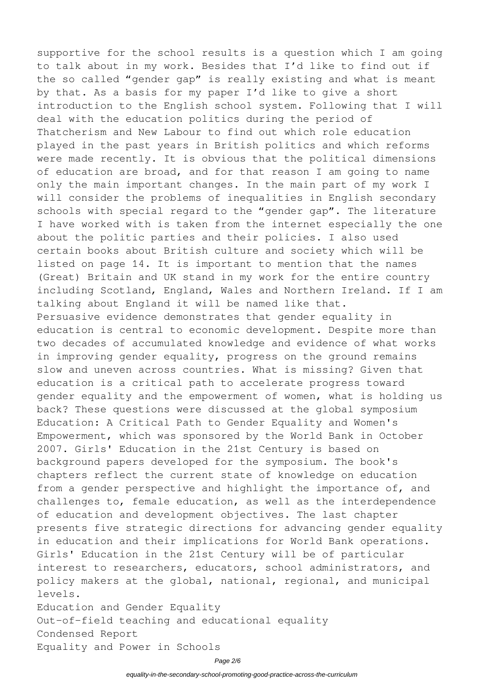supportive for the school results is a question which I am going to talk about in my work. Besides that I'd like to find out if the so called "gender gap" is really existing and what is meant by that. As a basis for my paper I'd like to give a short introduction to the English school system. Following that I will deal with the education politics during the period of Thatcherism and New Labour to find out which role education played in the past years in British politics and which reforms were made recently. It is obvious that the political dimensions of education are broad, and for that reason I am going to name only the main important changes. In the main part of my work I will consider the problems of inequalities in English secondary schools with special regard to the "gender gap". The literature I have worked with is taken from the internet especially the one about the politic parties and their policies. I also used certain books about British culture and society which will be listed on page 14. It is important to mention that the names (Great) Britain and UK stand in my work for the entire country including Scotland, England, Wales and Northern Ireland. If I am talking about England it will be named like that. Persuasive evidence demonstrates that gender equality in education is central to economic development. Despite more than two decades of accumulated knowledge and evidence of what works in improving gender equality, progress on the ground remains slow and uneven across countries. What is missing? Given that education is a critical path to accelerate progress toward gender equality and the empowerment of women, what is holding us back? These questions were discussed at the global symposium Education: A Critical Path to Gender Equality and Women's Empowerment, which was sponsored by the World Bank in October 2007. Girls' Education in the 21st Century is based on background papers developed for the symposium. The book's chapters reflect the current state of knowledge on education from a gender perspective and highlight the importance of, and challenges to, female education, as well as the interdependence of education and development objectives. The last chapter presents five strategic directions for advancing gender equality in education and their implications for World Bank operations. Girls' Education in the 21st Century will be of particular interest to researchers, educators, school administrators, and policy makers at the global, national, regional, and municipal levels. Education and Gender Equality Out-of-field teaching and educational equality

Condensed Report

Equality and Power in Schools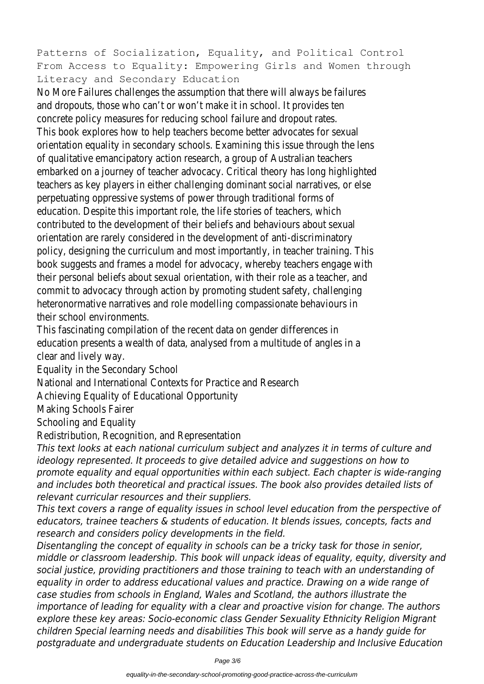Patterns of Socialization, Equality, and Political Control From Access to Equality: Empowering Girls and Women through Literacy and Secondary Education

No More Failures challenges the assumption that there will always be failures and dropouts, those who can't or won't make it in school. It provides ten concrete policy measures for reducing school failure and dropout rates. This book explores how to help teachers become better advocates for sexual orientation equality in secondary schools. Examining this issue through the lens of qualitative emancipatory action research, a group of Australian teachers embarked on a journey of teacher advocacy. Critical theory has long highlighted teachers as key players in either challenging dominant social narratives, or else perpetuating oppressive systems of power through traditional forms of education. Despite this important role, the life stories of teachers, which contributed to the development of their beliefs and behaviours about sexual orientation are rarely considered in the development of anti-discriminatory policy, designing the curriculum and most importantly, in teacher training. This book suggests and frames a model for advocacy, whereby teachers engage with their personal beliefs about sexual orientation, with their role as a teacher, and commit to advocacy through action by promoting student safety, challenging heteronormative narratives and role modelling compassionate behaviours in their school environments.

This fascinating compilation of the recent data on gender differences in education presents a wealth of data, analysed from a multitude of angles in a clear and lively way.

Equality in the Secondary School

National and International Contexts for Practice and Research

Achieving Equality of Educational Opportunity

Making Schools Fairer

Schooling and Equality

Redistribution, Recognition, and Representation

*This text looks at each national curriculum subject and analyzes it in terms of culture and ideology represented. It proceeds to give detailed advice and suggestions on how to promote equality and equal opportunities within each subject. Each chapter is wide-ranging and includes both theoretical and practical issues. The book also provides detailed lists of relevant curricular resources and their suppliers.*

*This text covers a range of equality issues in school level education from the perspective of educators, trainee teachers & students of education. It blends issues, concepts, facts and research and considers policy developments in the field.*

*Disentangling the concept of equality in schools can be a tricky task for those in senior, middle or classroom leadership. This book will unpack ideas of equality, equity, diversity and social justice, providing practitioners and those training to teach with an understanding of equality in order to address educational values and practice. Drawing on a wide range of case studies from schools in England, Wales and Scotland, the authors illustrate the importance of leading for equality with a clear and proactive vision for change. The authors explore these key areas: Socio-economic class Gender Sexuality Ethnicity Religion Migrant children Special learning needs and disabilities This book will serve as a handy guide for postgraduate and undergraduate students on Education Leadership and Inclusive Education*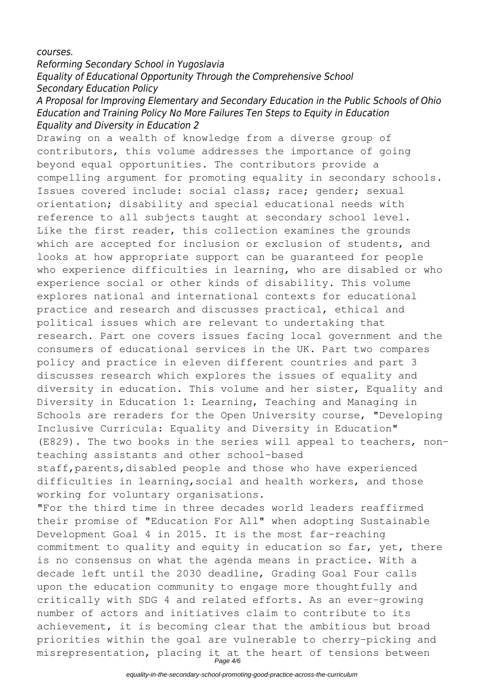*courses.*

## *Reforming Secondary School in Yugoslavia Equality of Educational Opportunity Through the Comprehensive School Secondary Education Policy*

## *A Proposal for Improving Elementary and Secondary Education in the Public Schools of Ohio Education and Training Policy No More Failures Ten Steps to Equity in Education Equality and Diversity in Education 2*

Drawing on a wealth of knowledge from a diverse group of contributors, this volume addresses the importance of going beyond equal opportunities. The contributors provide a compelling argument for promoting equality in secondary schools. Issues covered include: social class; race; gender; sexual orientation; disability and special educational needs with reference to all subjects taught at secondary school level. Like the first reader, this collection examines the grounds which are accepted for inclusion or exclusion of students, and looks at how appropriate support can be guaranteed for people who experience difficulties in learning, who are disabled or who experience social or other kinds of disability. This volume explores national and international contexts for educational practice and research and discusses practical, ethical and political issues which are relevant to undertaking that research. Part one covers issues facing local government and the consumers of educational services in the UK. Part two compares policy and practice in eleven different countries and part 3 discusses research which explores the issues of equality and diversity in education. This volume and her sister, Equality and Diversity in Education 1: Learning, Teaching and Managing in Schools are reraders for the Open University course, "Developing Inclusive Curricula: Equality and Diversity in Education" (E829). The two books in the series will appeal to teachers, nonteaching assistants and other school-based staff, parents, disabled people and those who have experienced difficulties in learning,social and health workers, and those working for voluntary organisations.

"For the third time in three decades world leaders reaffirmed their promise of "Education For All" when adopting Sustainable Development Goal 4 in 2015. It is the most far-reaching commitment to quality and equity in education so far, yet, there is no consensus on what the agenda means in practice. With a decade left until the 2030 deadline, Grading Goal Four calls upon the education community to engage more thoughtfully and critically with SDG 4 and related efforts. As an ever-growing number of actors and initiatives claim to contribute to its achievement, it is becoming clear that the ambitious but broad priorities within the goal are vulnerable to cherry-picking and misrepresentation, placing it at the heart of tensions between Page 4/6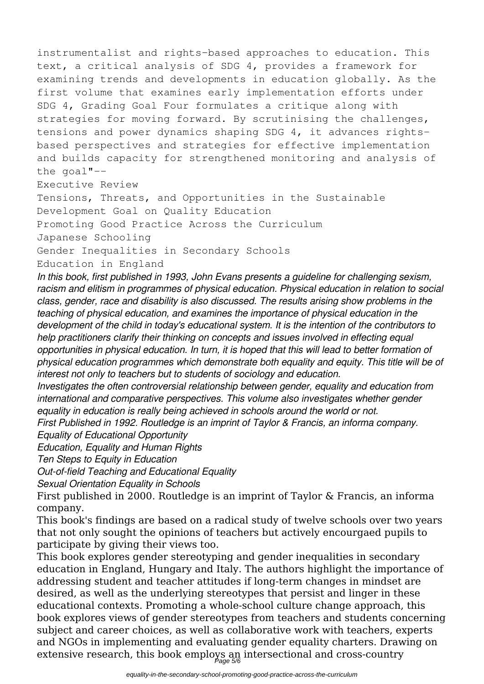instrumentalist and rights-based approaches to education. This text, a critical analysis of SDG 4, provides a framework for examining trends and developments in education globally. As the first volume that examines early implementation efforts under SDG 4, Grading Goal Four formulates a critique along with strategies for moving forward. By scrutinising the challenges, tensions and power dynamics shaping SDG 4, it advances rightsbased perspectives and strategies for effective implementation and builds capacity for strengthened monitoring and analysis of the goal"--

Executive Review

Tensions, Threats, and Opportunities in the Sustainable Development Goal on Quality Education Promoting Good Practice Across the Curriculum Japanese Schooling Gender Inequalities in Secondary Schools

Education in England

*In this book, first published in 1993, John Evans presents a guideline for challenging sexism, racism and elitism in programmes of physical education. Physical education in relation to social class, gender, race and disability is also discussed. The results arising show problems in the teaching of physical education, and examines the importance of physical education in the development of the child in today's educational system. It is the intention of the contributors to help practitioners clarify their thinking on concepts and issues involved in effecting equal opportunities in physical education. In turn, it is hoped that this will lead to better formation of physical education programmes which demonstrate both equality and equity. This title will be of interest not only to teachers but to students of sociology and education.*

*Investigates the often controversial relationship between gender, equality and education from international and comparative perspectives. This volume also investigates whether gender equality in education is really being achieved in schools around the world or not.*

*First Published in 1992. Routledge is an imprint of Taylor & Francis, an informa company. Equality of Educational Opportunity*

*Education, Equality and Human Rights*

*Ten Steps to Equity in Education*

*Out-of-field Teaching and Educational Equality*

*Sexual Orientation Equality in Schools*

First published in 2000. Routledge is an imprint of Taylor & Francis, an informa company.

This book's findings are based on a radical study of twelve schools over two years that not only sought the opinions of teachers but actively encourgaed pupils to participate by giving their views too.

This book explores gender stereotyping and gender inequalities in secondary education in England, Hungary and Italy. The authors highlight the importance of addressing student and teacher attitudes if long-term changes in mindset are desired, as well as the underlying stereotypes that persist and linger in these educational contexts. Promoting a whole-school culture change approach, this book explores views of gender stereotypes from teachers and students concerning subject and career choices, as well as collaborative work with teachers, experts and NGOs in implementing and evaluating gender equality charters. Drawing on extensive research, this book employs an intersectional and cross-country Page 5/6